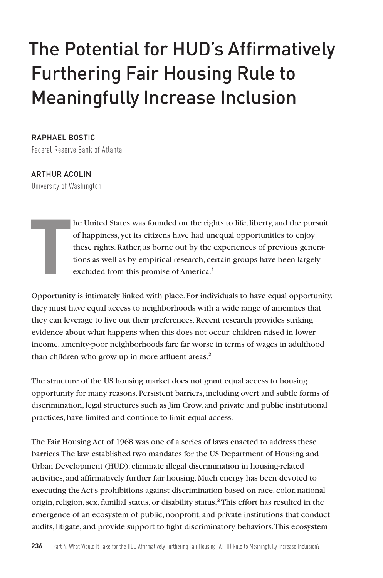# The Potential for HUD's Affirmatively Furthering Fair Housing Rule to Meaningfully Increase Inclusion

RAPHAEL BOSTIC Federal Reserve Bank of Atlanta

ARTHUR ACOLIN University of Washington

**T**

he United States was founded on the rights to life, liberty, and the pursuit of happiness, yet its citizens have had unequal opportunities to enjoy these rights. Rather, as borne out by the experiences of previous generations as well as by empirical research, certain groups have been largely excluded from this promise of America.**<sup>1</sup>**

Opportunity is intimately linked with place. For individuals to have equal opportunity, they must have equal access to neighborhoods with a wide range of amenities that they can leverage to live out their preferences. Recent research provides striking evidence about what happens when this does not occur: children raised in lowerincome, amenity-poor neighborhoods fare far worse in terms of wages in adulthood than children who grow up in more affluent areas.**<sup>2</sup>**

The structure of the US housing market does not grant equal access to housing opportunity for many reasons. Persistent barriers, including overt and subtle forms of discrimination, legal structures such as Jim Crow, and private and public institutional practices, have limited and continue to limit equal access.

The Fair Housing Act of 1968 was one of a series of laws enacted to address these barriers. The law established two mandates for the US Department of Housing and Urban Development (HUD): eliminate illegal discrimination in housing-related activities, and affirmatively further fair housing. Much energy has been devoted to executing the Act's prohibitions against discrimination based on race, color, national origin, religion, sex, familial status, or disability status.**<sup>3</sup>** This effort has resulted in the emergence of an ecosystem of public, nonprofit, and private institutions that conduct audits, litigate, and provide support to fight discriminatory behaviors. This ecosystem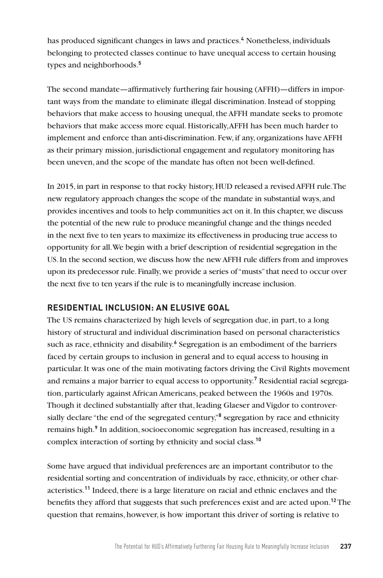has produced significant changes in laws and practices.**<sup>4</sup>** Nonetheless, individuals belonging to protected classes continue to have unequal access to certain housing types and neighborhoods.**<sup>5</sup>**

The second mandate—affirmatively furthering fair housing (AFFH)—differs in important ways from the mandate to eliminate illegal discrimination. Instead of stopping behaviors that make access to housing unequal, the AFFH mandate seeks to promote behaviors that make access more equal. Historically, AFFH has been much harder to implement and enforce than anti-discrimination. Few, if any, organizations have AFFH as their primary mission, jurisdictional engagement and regulatory monitoring has been uneven, and the scope of the mandate has often not been well-defined.

In 2015, in part in response to that rocky history, HUD released a revised AFFH rule. The new regulatory approach changes the scope of the mandate in substantial ways, and provides incentives and tools to help communities act on it. In this chapter, we discuss the potential of the new rule to produce meaningful change and the things needed in the next five to ten years to maximize its effectiveness in producing true access to opportunity for all. We begin with a brief description of residential segregation in the US. In the second section, we discuss how the new AFFH rule differs from and improves upon its predecessor rule. Finally, we provide a series of "musts" that need to occur over the next five to ten years if the rule is to meaningfully increase inclusion.

## **RESIDENTIAL INCLUSION: AN ELUSIVE GOAL**

The US remains characterized by high levels of segregation due, in part, to a long history of structural and individual discrimination based on personal characteristics such as race, ethnicity and disability.<sup>6</sup> Segregation is an embodiment of the barriers faced by certain groups to inclusion in general and to equal access to housing in particular. It was one of the main motivating factors driving the Civil Rights movement and remains a major barrier to equal access to opportunity.**<sup>7</sup>** Residential racial segregation, particularly against African Americans, peaked between the 1960s and 1970s. Though it declined substantially after that, leading Glaeser and Vigdor to controversially declare "the end of the segregated century,"<sup>8</sup> segregation by race and ethnicity remains high.**<sup>9</sup>** In addition, socioeconomic segregation has increased, resulting in a complex interaction of sorting by ethnicity and social class.**<sup>10</sup>**

Some have argued that individual preferences are an important contributor to the residential sorting and concentration of individuals by race, ethnicity, or other characteristics.**<sup>11</sup>** Indeed, there is a large literature on racial and ethnic enclaves and the benefits they afford that suggests that such preferences exist and are acted upon.**<sup>12</sup>**The question that remains, however, is how important this driver of sorting is relative to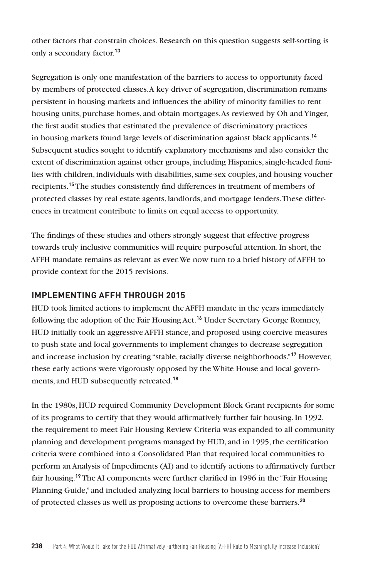other factors that constrain choices. Research on this question suggests self-sorting is only a secondary factor.**<sup>13</sup>**

Segregation is only one manifestation of the barriers to access to opportunity faced by members of protected classes. A key driver of segregation, discrimination remains persistent in housing markets and influences the ability of minority families to rent housing units, purchase homes, and obtain mortgages. As reviewed by Oh andYinger, the first audit studies that estimated the prevalence of discriminatory practices in housing markets found large levels of discrimination against black applicants.**<sup>14</sup>** Subsequent studies sought to identify explanatory mechanisms and also consider the extent of discrimination against other groups, including Hispanics, single-headed families with children, individuals with disabilities, same-sex couples, and housing voucher recipients.**<sup>15</sup>** The studies consistently find differences in treatment of members of protected classes by real estate agents, landlords, and mortgage lenders. These differences in treatment contribute to limits on equal access to opportunity.

The findings of these studies and others strongly suggest that effective progress towards truly inclusive communities will require purposeful attention. In short, the AFFH mandate remains as relevant as ever. We now turn to a brief history of AFFH to provide context for the 2015 revisions.

#### **IMPLEMENTING AFFH THROUGH 2015**

HUD took limited actions to implement the AFFH mandate in the years immediately following the adoption of the Fair Housing Act.**<sup>16</sup>** Under Secretary George Romney, HUD initially took an aggressive AFFH stance, and proposed using coercive measures to push state and local governments to implement changes to decrease segregation and increase inclusion by creating "stable, racially diverse neighborhoods."**<sup>17</sup>** However, these early actions were vigorously opposed by the White House and local governments, and HUD subsequently retreated.**<sup>18</sup>**

In the 1980s, HUD required Community Development Block Grant recipients for some of its programs to certify that they would affirmatively further fair housing. In 1992, the requirement to meet Fair Housing Review Criteria was expanded to all community planning and development programs managed by HUD, and in 1995, the certification criteria were combined into a Consolidated Plan that required local communities to perform an Analysis of Impediments (AI) and to identify actions to affirmatively further fair housing.**<sup>19</sup>** The AI components were further clarified in 1996 in the "Fair Housing Planning Guide," and included analyzing local barriers to housing access for members of protected classes as well as proposing actions to overcome these barriers.**20**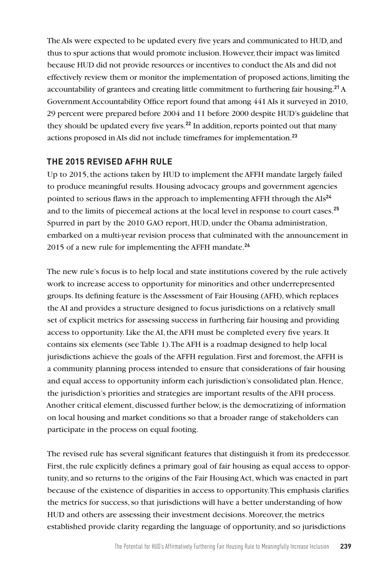The AIs were expected to be updated every five years and communicated to HUD, and thus to spur actions that would promote inclusion. However, their impact was limited because HUD did not provide resources or incentives to conduct the AIs and did not effectively review them or monitor the implementation of proposed actions, limiting the accountability of grantees and creating little commitment to furthering fair housing.**<sup>21</sup>** A Government Accountability Office report found that among 441 AIs it surveyed in 2010, 29 percent were prepared before 2004 and 11 before 2000 despite HUD's guideline that they should be updated every five years.**<sup>22</sup>** In addition, reports pointed out that many actions proposed in AIs did not include timeframes for implementation.**<sup>23</sup>**

## **THE 2015 REVISED AFHH RULE**

Up to 2015, the actions taken by HUD to implement the AFFH mandate largely failed to produce meaningful results. Housing advocacy groups and government agencies pointed to serious flaws in the approach to implementing AFFH through the AIs**<sup>24</sup>** and to the limits of piecemeal actions at the local level in response to court cases.**<sup>25</sup>** Spurred in part by the 2010 GAO report, HUD, under the Obama administration, embarked on a multi-year revision process that culminated with the announcement in 2015 of a new rule for implementing the AFFH mandate.**<sup>26</sup>**

The new rule's focus is to help local and state institutions covered by the rule actively work to increase access to opportunity for minorities and other underrepresented groups. Its defining feature is the Assessment of Fair Housing (AFH), which replaces the AI and provides a structure designed to focus jurisdictions on a relatively small set of explicit metrics for assessing success in furthering fair housing and providing access to opportunity. Like the AI, the AFH must be completed every five years. It contains six elements (see Table 1). The AFH is a roadmap designed to help local jurisdictions achieve the goals of the AFFH regulation. First and foremost, the AFFH is a community planning process intended to ensure that considerations of fair housing and equal access to opportunity inform each jurisdiction's consolidated plan. Hence, the jurisdiction's priorities and strategies are important results of the AFH process. Another critical element, discussed further below, is the democratizing of information on local housing and market conditions so that a broader range of stakeholders can participate in the process on equal footing.

The revised rule has several significant features that distinguish it from its predecessor. First, the rule explicitly defines a primary goal of fair housing as equal access to opportunity, and so returns to the origins of the Fair Housing Act, which was enacted in part because of the existence of disparities in access to opportunity. This emphasis clarifies the metrics for success, so that jurisdictions will have a better understanding of how HUD and others are assessing their investment decisions. Moreover, the metrics established provide clarity regarding the language of opportunity, and so jurisdictions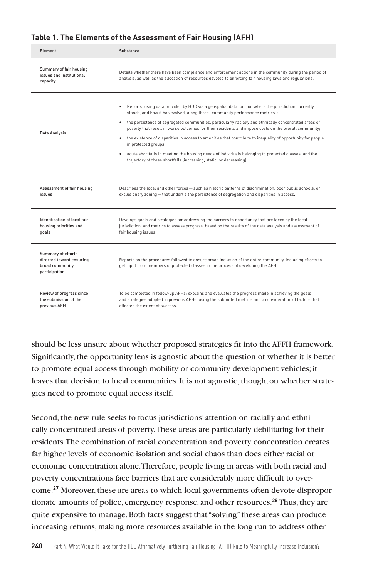#### **Table 1. The Elements of the Assessment of Fair Housing (AFH)**

| Element                                                                            | Substance                                                                                                                                                                                                                                                                                                                                                                                                                                                                                                                                                                                                                                                                                                                  |
|------------------------------------------------------------------------------------|----------------------------------------------------------------------------------------------------------------------------------------------------------------------------------------------------------------------------------------------------------------------------------------------------------------------------------------------------------------------------------------------------------------------------------------------------------------------------------------------------------------------------------------------------------------------------------------------------------------------------------------------------------------------------------------------------------------------------|
| Summary of fair housing<br>issues and institutional<br>capacity                    | Details whether there have been compliance and enforcement actions in the community during the period of<br>analysis, as well as the allocation of resources devoted to enforcing fair housing laws and regulations.                                                                                                                                                                                                                                                                                                                                                                                                                                                                                                       |
| Data Analysis                                                                      | Reports, using data provided by HUD via a geospatial data tool, on where the jurisdiction currently<br>stands, and how it has evolved, along three "community performance metrics":<br>the persistence of segregated communities, particularly racially and ethnically concentrated areas of<br>poverty that result in worse outcomes for their residents and impose costs on the overall community;<br>the existence of disparities in access to amenities that contribute to inequality of opportunity for people<br>in protected groups;<br>acute shortfalls in meeting the housing needs of individuals belonging to protected classes, and the<br>trajectory of these shortfalls (increasing, static, or decreasing). |
| Assessment of fair housing<br>issues                                               | Describes the local and other forces - such as historic patterns of discrimination, poor public schools, or<br>exclusionary zoning - that underlie the persistence of segregation and disparities in access.                                                                                                                                                                                                                                                                                                                                                                                                                                                                                                               |
| Identification of local fair<br>housing priorities and<br>qoals                    | Develops goals and strategies for addressing the barriers to opportunity that are faced by the local<br>jurisdiction, and metrics to assess progress, based on the results of the data analysis and assessment of<br>fair housing issues.                                                                                                                                                                                                                                                                                                                                                                                                                                                                                  |
| Summary of efforts<br>directed toward ensuring<br>broad community<br>participation | Reports on the procedures followed to ensure broad inclusion of the entire community, including efforts to<br>get input from members of protected classes in the process of developing the AFH.                                                                                                                                                                                                                                                                                                                                                                                                                                                                                                                            |
| Review of progress since<br>the submission of the<br>previous AFH                  | To be completed in follow-up AFHs; explains and evaluates the progress made in achieving the goals<br>and strategies adopted in previous AFHs, using the submitted metrics and a consideration of factors that<br>affected the extent of success                                                                                                                                                                                                                                                                                                                                                                                                                                                                           |

should be less unsure about whether proposed strategies fit into the AFFH framework. Significantly, the opportunity lens is agnostic about the question of whether it is better to promote equal access through mobility or community development vehicles; it leaves that decision to local communities. It is not agnostic, though, on whether strategies need to promote equal access itself.

Second, the new rule seeks to focus jurisdictions' attention on racially and ethnically concentrated areas of poverty. These areas are particularly debilitating for their residents. The combination of racial concentration and poverty concentration creates far higher levels of economic isolation and social chaos than does either racial or economic concentration alone. Therefore, people living in areas with both racial and poverty concentrations face barriers that are considerably more difficult to overcome.**27** Moreover, these are areas to which local governments often devote disproportionate amounts of police, emergency response, and other resources.**<sup>28</sup>** Thus, they are quite expensive to manage. Both facts suggest that "solving" these areas can produce increasing returns, making more resources available in the long run to address other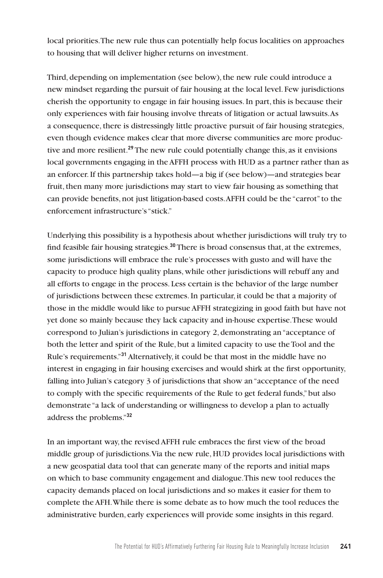local priorities. The new rule thus can potentially help focus localities on approaches to housing that will deliver higher returns on investment.

Third, depending on implementation (see below), the new rule could introduce a new mindset regarding the pursuit of fair housing at the local level. Few jurisdictions cherish the opportunity to engage in fair housing issues. In part, this is because their only experiences with fair housing involve threats of litigation or actual lawsuits. As a consequence, there is distressingly little proactive pursuit of fair housing strategies, even though evidence makes clear that more diverse communities are more productive and more resilient.**<sup>29</sup>** The new rule could potentially change this, as it envisions local governments engaging in the AFFH process with HUD as a partner rather than as an enforcer. If this partnership takes hold—a big if (see below)—and strategies bear fruit, then many more jurisdictions may start to view fair housing as something that can provide benefits, not just litigation-based costs. AFFH could be the "carrot" to the enforcement infrastructure's "stick."

Underlying this possibility is a hypothesis about whether jurisdictions will truly try to find feasible fair housing strategies.**<sup>30</sup>** There is broad consensus that, at the extremes, some jurisdictions will embrace the rule's processes with gusto and will have the capacity to produce high quality plans, while other jurisdictions will rebuff any and all efforts to engage in the process. Less certain is the behavior of the large number of jurisdictions between these extremes. In particular, it could be that a majority of those in the middle would like to pursue AFFH strategizing in good faith but have not yet done so mainly because they lack capacity and in-house expertise. These would correspond to Julian's jurisdictions in category 2, demonstrating an "acceptance of both the letter and spirit of the Rule, but a limited capacity to use the Tool and the Rule's requirements."**<sup>31</sup>** Alternatively, it could be that most in the middle have no interest in engaging in fair housing exercises and would shirk at the first opportunity, falling into Julian's category 3 of jurisdictions that show an "acceptance of the need to comply with the specific requirements of the Rule to get federal funds," but also demonstrate "a lack of understanding or willingness to develop a plan to actually address the problems."**<sup>32</sup>**

In an important way, the revised AFFH rule embraces the first view of the broad middle group of jurisdictions. Via the new rule, HUD provides local jurisdictions with a new geospatial data tool that can generate many of the reports and initial maps on which to base community engagement and dialogue. This new tool reduces the capacity demands placed on local jurisdictions and so makes it easier for them to complete the AFH. While there is some debate as to how much the tool reduces the administrative burden, early experiences will provide some insights in this regard.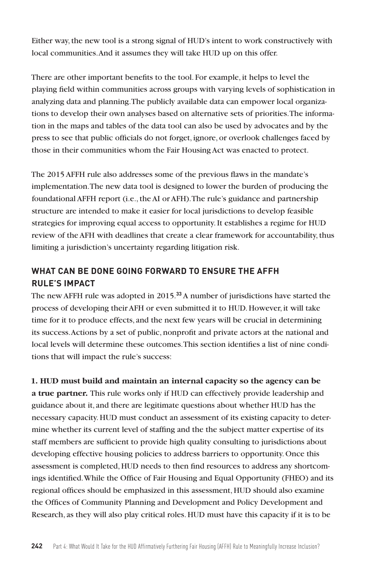Either way, the new tool is a strong signal of HUD's intent to work constructively with local communities. And it assumes they will take HUD up on this offer.

There are other important benefits to the tool. For example, it helps to level the playing field within communities across groups with varying levels of sophistication in analyzing data and planning. The publicly available data can empower local organizations to develop their own analyses based on alternative sets of priorities. The information in the maps and tables of the data tool can also be used by advocates and by the press to see that public officials do not forget, ignore, or overlook challenges faced by those in their communities whom the Fair Housing Act was enacted to protect.

The 2015 AFFH rule also addresses some of the previous flaws in the mandate's implementation. The new data tool is designed to lower the burden of producing the foundational AFFH report (i.e., the AI or AFH). The rule's guidance and partnership structure are intended to make it easier for local jurisdictions to develop feasible strategies for improving equal access to opportunity. It establishes a regime for HUD review of the AFH with deadlines that create a clear framework for accountability, thus limiting a jurisdiction's uncertainty regarding litigation risk.

## **WHAT CAN BE DONE GOING FORWARD TO ENSURE THE AFFH RULE'S IMPACT**

The new AFFH rule was adopted in 2015.**<sup>33</sup>** A number of jurisdictions have started the process of developing their AFH or even submitted it to HUD. However, it will take time for it to produce effects, and the next few years will be crucial in determining its success. Actions by a set of public, nonprofit and private actors at the national and local levels will determine these outcomes. This section identifies a list of nine conditions that will impact the rule's success:

**1. HUD must build and maintain an internal capacity so the agency can be a true partner.** This rule works only if HUD can effectively provide leadership and guidance about it, and there are legitimate questions about whether HUD has the necessary capacity. HUD must conduct an assessment of its existing capacity to determine whether its current level of staffing and the the subject matter expertise of its staff members are sufficient to provide high quality consulting to jurisdictions about developing effective housing policies to address barriers to opportunity. Once this assessment is completed, HUD needs to then find resources to address any shortcomings identified. While the Office of Fair Housing and Equal Opportunity (FHEO) and its regional offices should be emphasized in this assessment, HUD should also examine the Offices of Community Planning and Development and Policy Development and Research, as they will also play critical roles. HUD must have this capacity if it is to be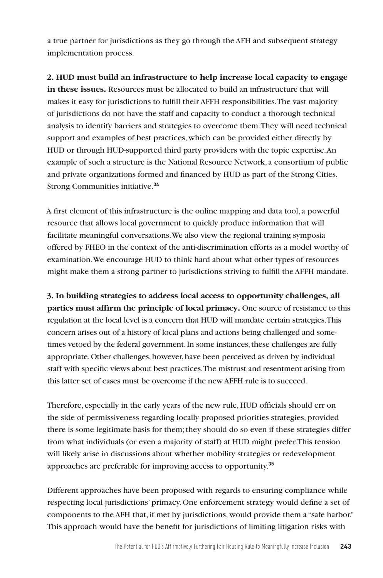a true partner for jurisdictions as they go through the AFH and subsequent strategy implementation process.

**2. HUD must build an infrastructure to help increase local capacity to engage in these issues.** Resources must be allocated to build an infrastructure that will makes it easy for jurisdictions to fulfill their AFFH responsibilities. The vast majority of jurisdictions do not have the staff and capacity to conduct a thorough technical analysis to identify barriers and strategies to overcome them. They will need technical support and examples of best practices, which can be provided either directly by HUD or through HUD-supported third party providers with the topic expertise. An example of such a structure is the National Resource Network, a consortium of public and private organizations formed and financed by HUD as part of the Strong Cities, Strong Communities initiative.**<sup>34</sup>**

A first element of this infrastructure is the online mapping and data tool, a powerful resource that allows local government to quickly produce information that will facilitate meaningful conversations. We also view the regional training symposia offered by FHEO in the context of the anti-discrimination efforts as a model worthy of examination. We encourage HUD to think hard about what other types of resources might make them a strong partner to jurisdictions striving to fulfill the AFFH mandate.

**3. In building strategies to address local access to opportunity challenges, all parties must affirm the principle of local primacy.** One source of resistance to this regulation at the local level is a concern that HUD will mandate certain strategies. This concern arises out of a history of local plans and actions being challenged and sometimes vetoed by the federal government. In some instances, these challenges are fully appropriate. Other challenges, however, have been perceived as driven by individual staff with specific views about best practices. The mistrust and resentment arising from this latter set of cases must be overcome if the new AFFH rule is to succeed.

Therefore, especially in the early years of the new rule, HUD officials should err on the side of permissiveness regarding locally proposed priorities strategies, provided there is some legitimate basis for them; they should do so even if these strategies differ from what individuals (or even a majority of staff) at HUD might prefer. This tension will likely arise in discussions about whether mobility strategies or redevelopment approaches are preferable for improving access to opportunity.**<sup>35</sup>**

Different approaches have been proposed with regards to ensuring compliance while respecting local jurisdictions' primacy. One enforcement strategy would define a set of components to the AFH that, if met by jurisdictions, would provide them a "safe harbor." This approach would have the benefit for jurisdictions of limiting litigation risks with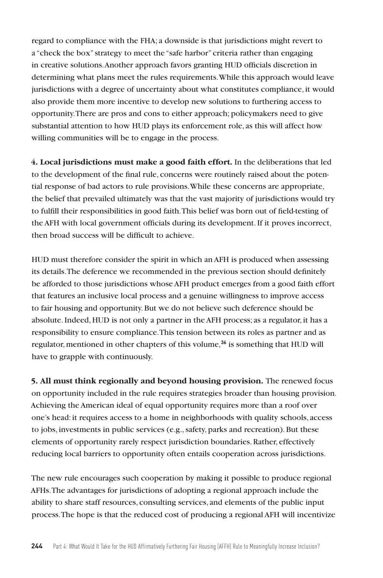regard to compliance with the FHA; a downside is that jurisdictions might revert to a "check the box" strategy to meet the "safe harbor" criteria rather than engaging in creative solutions. Another approach favors granting HUD officials discretion in determining what plans meet the rules requirements. While this approach would leave jurisdictions with a degree of uncertainty about what constitutes compliance, it would also provide them more incentive to develop new solutions to furthering access to opportunity. There are pros and cons to either approach; policymakers need to give substantial attention to how HUD plays its enforcement role, as this will affect how willing communities will be to engage in the process.

**4. Local jurisdictions must make a good faith effort.** In the deliberations that led to the development of the final rule, concerns were routinely raised about the potential response of bad actors to rule provisions. While these concerns are appropriate, the belief that prevailed ultimately was that the vast majority of jurisdictions would try to fulfill their responsibilities in good faith. This belief was born out of field-testing of the AFH with local government officials during its development. If it proves incorrect, then broad success will be difficult to achieve.

HUD must therefore consider the spirit in which an AFH is produced when assessing its details. The deference we recommended in the previous section should definitely be afforded to those jurisdictions whose AFH product emerges from a good faith effort that features an inclusive local process and a genuine willingness to improve access to fair housing and opportunity. But we do not believe such deference should be absolute. Indeed, HUD is not only a partner in the AFH process; as a regulator, it has a responsibility to ensure compliance. This tension between its roles as partner and as regulator, mentioned in other chapters of this volume,**<sup>36</sup>** is something that HUD will have to grapple with continuously.

**5. All must think regionally and beyond housing provision.** The renewed focus on opportunity included in the rule requires strategies broader than housing provision. Achieving the American ideal of equal opportunity requires more than a roof over one's head: it requires access to a home in neighborhoods with quality schools, access to jobs, investments in public services (e.g., safety, parks and recreation). But these elements of opportunity rarely respect jurisdiction boundaries. Rather, effectively reducing local barriers to opportunity often entails cooperation across jurisdictions.

The new rule encourages such cooperation by making it possible to produce regional AFHs. The advantages for jurisdictions of adopting a regional approach include the ability to share staff resources, consulting services, and elements of the public input process. The hope is that the reduced cost of producing a regional AFH will incentivize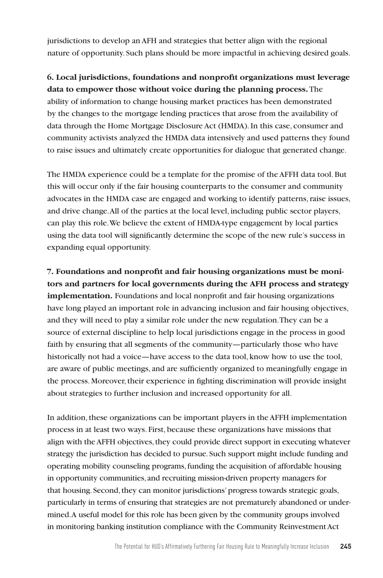jurisdictions to develop an AFH and strategies that better align with the regional nature of opportunity. Such plans should be more impactful in achieving desired goals.

# **6. Local jurisdictions, foundations and nonprofit organizations must leverage data to empower those without voice during the planning process.** The ability of information to change housing market practices has been demonstrated by the changes to the mortgage lending practices that arose from the availability of data through the Home Mortgage Disclosure Act (HMDA). In this case, consumer and community activists analyzed the HMDA data intensively and used patterns they found to raise issues and ultimately create opportunities for dialogue that generated change.

The HMDA experience could be a template for the promise of the AFFH data tool. But this will occur only if the fair housing counterparts to the consumer and community advocates in the HMDA case are engaged and working to identify patterns, raise issues, and drive change. All of the parties at the local level, including public sector players, can play this role. We believe the extent of HMDA-type engagement by local parties using the data tool will significantly determine the scope of the new rule's success in expanding equal opportunity.

**7. Foundations and nonprofit and fair housing organizations must be monitors and partners for local governments during the AFH process and strategy implementation.** Foundations and local nonprofit and fair housing organizations have long played an important role in advancing inclusion and fair housing objectives, and they will need to play a similar role under the new regulation. They can be a source of external discipline to help local jurisdictions engage in the process in good faith by ensuring that all segments of the community—particularly those who have historically not had a voice—have access to the data tool, know how to use the tool, are aware of public meetings, and are sufficiently organized to meaningfully engage in the process. Moreover, their experience in fighting discrimination will provide insight about strategies to further inclusion and increased opportunity for all.

In addition, these organizations can be important players in the AFFH implementation process in at least two ways. First, because these organizations have missions that align with the AFFH objectives, they could provide direct support in executing whatever strategy the jurisdiction has decided to pursue. Such support might include funding and operating mobility counseling programs, funding the acquisition of affordable housing in opportunity communities, and recruiting mission-driven property managers for that housing. Second, they can monitor jurisdictions' progress towards strategic goals, particularly in terms of ensuring that strategies are not prematurely abandoned or undermined. A useful model for this role has been given by the community groups involved in monitoring banking institution compliance with the Community Reinvestment Act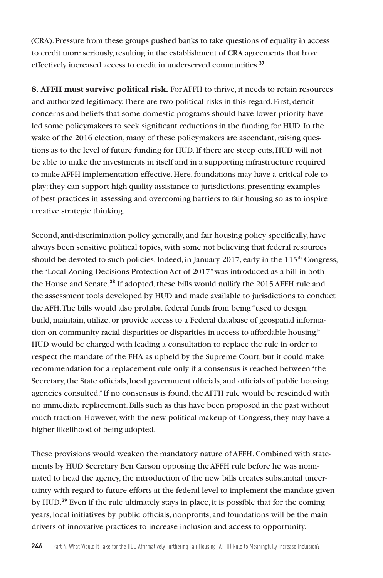(CRA). Pressure from these groups pushed banks to take questions of equality in access to credit more seriously, resulting in the establishment of CRA agreements that have effectively increased access to credit in underserved communities.**<sup>37</sup>**

**8. AFFH must survive political risk.** For AFFH to thrive, it needs to retain resources and authorized legitimacy. There are two political risks in this regard. First, deficit concerns and beliefs that some domestic programs should have lower priority have led some policymakers to seek significant reductions in the funding for HUD. In the wake of the 2016 election, many of these policymakers are ascendant, raising questions as to the level of future funding for HUD. If there are steep cuts, HUD will not be able to make the investments in itself and in a supporting infrastructure required to make AFFH implementation effective. Here, foundations may have a critical role to play: they can support high-quality assistance to jurisdictions, presenting examples of best practices in assessing and overcoming barriers to fair housing so as to inspire creative strategic thinking.

Second, anti-discrimination policy generally, and fair housing policy specifically, have always been sensitive political topics, with some not believing that federal resources should be devoted to such policies. Indeed, in January 2017, early in the  $115<sup>th</sup> Congress$ , the "Local Zoning Decisions Protection Act of 2017" was introduced as a bill in both the House and Senate.**<sup>38</sup>** If adopted, these bills would nullify the 2015 AFFH rule and the assessment tools developed by HUD and made available to jurisdictions to conduct the AFH. The bills would also prohibit federal funds from being "used to design, build, maintain, utilize, or provide access to a Federal database of geospatial information on community racial disparities or disparities in access to affordable housing." HUD would be charged with leading a consultation to replace the rule in order to respect the mandate of the FHA as upheld by the Supreme Court, but it could make recommendation for a replacement rule only if a consensus is reached between "the Secretary, the State officials, local government officials, and officials of public housing agencies consulted." If no consensus is found, the AFFH rule would be rescinded with no immediate replacement. Bills such as this have been proposed in the past without much traction. However, with the new political makeup of Congress, they may have a higher likelihood of being adopted.

These provisions would weaken the mandatory nature of AFFH. Combined with statements by HUD Secretary Ben Carson opposing the AFFH rule before he was nominated to head the agency, the introduction of the new bills creates substantial uncertainty with regard to future efforts at the federal level to implement the mandate given by HUD.**<sup>39</sup>** Even if the rule ultimately stays in place, it is possible that for the coming years, local initiatives by public officials, nonprofits, and foundations will be the main drivers of innovative practices to increase inclusion and access to opportunity.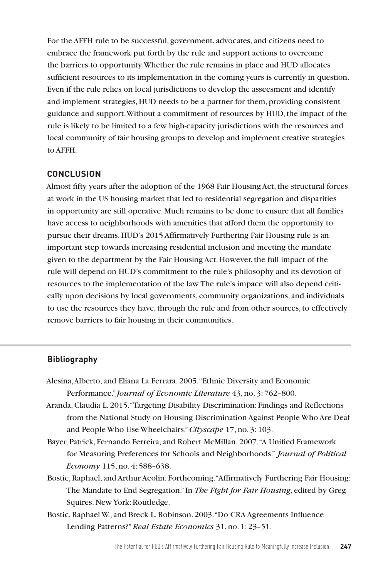For the AFFH rule to be successful, government, advocates, and citizens need to embrace the framework put forth by the rule and support actions to overcome the barriers to opportunity. Whether the rule remains in place and HUD allocates sufficient resources to its implementation in the coming years is currently in question. Even if the rule relies on local jurisdictions to develop the asseesment and identify and implement strategies, HUD needs to be a partner for them, providing consistent guidance and support. Without a commitment of resources by HUD, the impact of the rule is likely to be limited to a few high-capacity jurisdictions with the resources and local community of fair housing groups to develop and implement creative strategies to AFFH.

## **CONCLUSION**

Almost fifty years after the adoption of the 1968 Fair Housing Act, the structural forces at work in the US housing market that led to residential segregation and disparities in opportunity are still operative. Much remains to be done to ensure that all families have access to neighborhoods with amenities that afford them the opportunity to pursue their dreams. HUD's 2015 Affirmatively Furthering Fair Housing rule is an important step towards increasing residential inclusion and meeting the mandate given to the department by the Fair Housing Act. However, the full impact of the rule will depend on HUD's commitment to the rule's philosophy and its devotion of resources to the implementation of the law. The rule's impace will also depend critically upon decisions by local governments, community organizations, and individuals to use the resources they have, through the rule and from other sources, to effectively remove barriers to fair housing in their communities.

## **Bibliography**

- Alesina, Alberto, and Eliana La Ferrara. 2005. "Ethnic Diversity and Economic Performance." *Journal of Economic Literature* 43, no. 3: 762–800.
- Aranda, Claudia L. 2015. "Targeting Disability Discrimination: Findings and Reflections from the National Study on Housing Discrimination Against People Who Are Deaf and People Who Use Wheelchairs." *Cityscape* 17, no. 3: 103.
- Bayer, Patrick, Fernando Ferreira, and Robert McMillan. 2007. "A Unified Framework for Measuring Preferences for Schools and Neighborhoods." *Journal of Political Economy* 115, no. 4: 588–638.
- Bostic, Raphael, and Arthur Acolin. Forthcoming. "Affirmatively Furthering Fair Housing: The Mandate to End Segregation." In *The Fight for Fair Housing*, edited by Greg Squires. New York: Routledge.
- Bostic, Raphael W., and Breck L. Robinson. 2003. "Do CRA Agreements Influence Lending Patterns?" *Real Estate Economics* 31, no. 1: 23–51.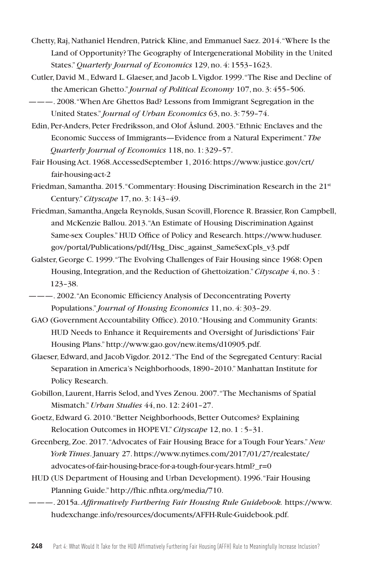- Chetty, Raj, Nathaniel Hendren, Patrick Kline, and Emmanuel Saez. 2014. "Where Is the Land of Opportunity? The Geography of Intergenerational Mobility in the United States."*Quarterly Journal of Economics* 129, no. 4: 1553–1623.
- Cutler, David M., Edward L. Glaeser, and Jacob L. Vigdor. 1999. "The Rise and Decline of the American Ghetto." *Journal of Political Economy* 107, no. 3: 455–506.
- ———. 2008. "When Are Ghettos Bad? Lessons from Immigrant Segregation in the United States." *Journal of Urban Economics* 63, no. 3: 759–74.
- Edin, Per-Anders, Peter Fredriksson, and Olof Åslund. 2003. "Ethnic Enclaves and the Economic Success of Immigrants—Evidence from a Natural Experiment."*The Quarterly Journal of Economics* 118, no. 1: 329–57.
- Fair Housing Act. 1968. AccessedSeptember 1, 2016: https://www.justice.gov/crt/ fair-housing-act-2
- Friedman, Samantha. 2015. "Commentary: Housing Discrimination Research in the 21st Century."*Cityscape* 17, no. 3: 143–49.
- Friedman, Samantha, Angela Reynolds, Susan Scovill, Florence R. Brassier, Ron Campbell, and McKenzie Ballou. 2013. "An Estimate of Housing Discrimination Against Same-sex Couples." HUD Office of Policy and Research. https://www.huduser. gov/portal/Publications/pdf/Hsg\_Disc\_against\_SameSexCpls\_v3.pdf
- Galster, George C. 1999. "The Evolving Challenges of Fair Housing since 1968: Open Housing, Integration, and the Reduction of Ghettoization." *Cityscape* 4, no. 3 : 123–38.
- ———. 2002. "An Economic Efficiency Analysis of Deconcentrating Poverty Populations." *Journal of Housing Economics* 11, no. 4: 303–29.
- GAO (Government Accountability Office). 2010. "Housing and Community Grants: HUD Needs to Enhance it Requirements and Oversight of Jurisdictions' Fair Housing Plans." http://www.gao.gov/new.items/d10905.pdf.
- Glaeser, Edward, and Jacob Vigdor. 2012. "The End of the Segregated Century: Racial Separation in America's Neighborhoods, 1890–2010." Manhattan Institute for Policy Research.
- Gobillon, Laurent, Harris Selod, and Yves Zenou. 2007. "The Mechanisms of Spatial Mismatch."*Urban Studies* 44, no. 12: 2401–27.
- Goetz, Edward G. 2010. "Better Neighborhoods, Better Outcomes? Explaining Relocation Outcomes in HOPE VI."*Cityscape* 12, no. 1 : 5–31.
- Greenberg, Zoe. 2017. "Advocates of Fair Housing Brace for a Tough Four Years." *New York Times*. January 27. https://www.nytimes.com/2017/01/27/realestate/ advocates-of-fair-housing-brace-for-a-tough-four-years.html?\_r=0
- HUD (US Department of Housing and Urban Development). 1996. "Fair Housing Planning Guide." http://fhic.nfhta.org/media/710.
- ———. 2015a. *Affirmatively Furthering Fair Housing Rule Guidebook.* https://www. hudexchange.info/resources/documents/AFFH-Rule-Guidebook.pdf.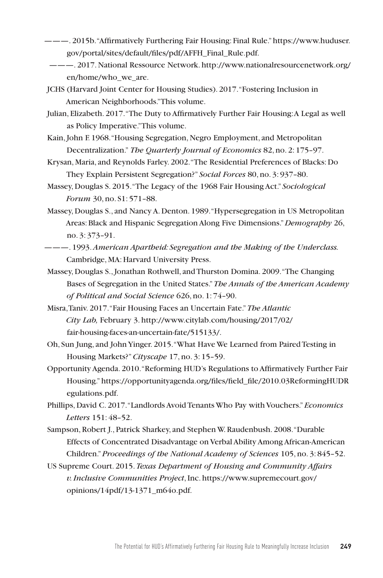- ———. 2015b. "Affirmatively Furthering Fair Housing: Final Rule." https://www.huduser. gov/portal/sites/default/files/pdf/AFFH\_Final\_Rule.pdf.
	- ———. 2017. National Ressource Network. http://www.nationalresourcenetwork.org/ en/home/who\_we\_are.
- JCHS (Harvard Joint Center for Housing Studies). 2017. "Fostering Inclusion in American Neighborhoods." This volume.
- Julian, Elizabeth. 2017. "The Duty to Affirmatively Further Fair Housing: A Legal as well as Policy Imperative." This volume.
- Kain, John F. 1968. "Housing Segregation, Negro Employment, and Metropolitan Decentralization." *The Quarterly Journal of Economics* 82, no. 2: 175–97.
- Krysan, Maria, and Reynolds Farley. 2002. "The Residential Preferences of Blacks: Do They Explain Persistent Segregation?" *Social Forces* 80, no. 3: 937–80.
- Massey, Douglas S. 2015. "The Legacy of the 1968 Fair Housing Act." *Sociological Forum* 30, no. S1: 571–88.
- Massey, Douglas S., and Nancy A. Denton. 1989. "Hypersegregation in US Metropolitan Areas: Black and Hispanic Segregation Along Five Dimensions."*Demography* 26, no. 3: 373–91.
- ———. 1993. *American Apartheid: Segregation and the Making of the Underclass.*  Cambridge, MA: Harvard University Press.
- Massey, Douglas S., Jonathan Rothwell, and Thurston Domina. 2009. "The Changing Bases of Segregation in the United States."*The Annals of the American Academy of Political and Social Science* 626, no. 1: 74–90.
- Misra, Taniv. 2017. "Fair Housing Faces an Uncertain Fate." *The Atlantic City Lab,* February 3. http://www.citylab.com/housing/2017/02/ fair-housing-faces-an-uncertain-fate/515133/.
- Oh, Sun Jung, and JohnYinger. 2015. "What Have We Learned from Paired Testing in Housing Markets?"*Cityscape* 17, no. 3: 15–59.
- Opportunity Agenda. 2010. "Reforming HUD's Regulations to Affirmatively Further Fair Housing." https://opportunityagenda.org/files/field\_file/2010.03ReformingHUDR egulations.pdf.
- Phillips, David C. 2017. "Landlords Avoid Tenants Who Pay with Vouchers."*Economics Letters* 151: 48–52.
- Sampson, Robert J., Patrick Sharkey, and Stephen W. Raudenbush. 2008. "Durable Effects of Concentrated Disadvantage on Verbal Ability Among African-American Children."*Proceedings of the National Academy of Sciences* 105, no. 3: 845–52.
- US Supreme Court. 2015. *Texas Department of Housing and Community Affairs v. Inclusive Communities Project*, Inc. https://www.supremecourt.gov/ opinions/14pdf/13-1371\_m64o.pdf.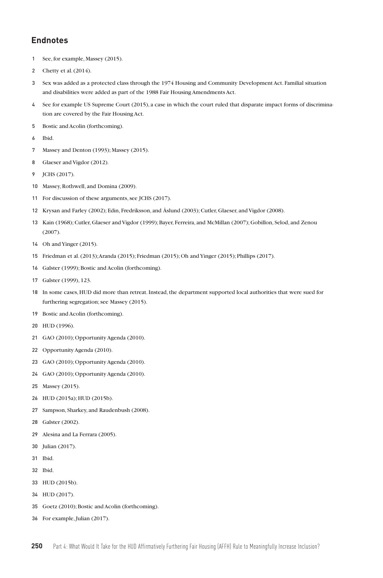## **Endnotes**

- See, for example, Massey (2015).
- Chetty et al. (2014).
- Sex was added as a protected class through the 1974 Housing and Community Development Act. Familial situation and disabilities were added as part of the 1988 Fair Housing Amendments Act.
- See for example US Supreme Court (2015), a case in which the court ruled that disparate impact forms of discrimination are covered by the Fair Housing Act.
- Bostic and Acolin (forthcoming).
- Ibid.
- Massey and Denton (1993); Massey (2015).
- Glaeser and Vigdor (2012).
- JCHS (2017).
- Massey, Rothwell, and Domina (2009).
- For discussion of these arguments, see JCHS (2017).
- Krysan and Farley (2002); Edin, Fredriksson, and Åslund (2003); Cutler, Glaeser, and Vigdor (2008).
- Kain (1968); Cutler, Glaeser and Vigdor (1999); Bayer, Ferreira, and McMillan (2007); Gobillon, Selod, and Zenou (2007).
- Oh andYinger (2015).
- Friedman et al. (2013); Aranda (2015); Friedman (2015); Oh andYinger (2015); Phillips (2017).
- Galster (1999); Bostic and Acolin (forthcoming).
- Galster (1999), 123.
- In some cases, HUD did more than retreat. Instead, the department supported local authorities that were sued for furthering segregation; see Massey (2015).
- Bostic and Acolin (forthcoming).
- HUD (1996).
- GAO (2010); Opportunity Agenda (2010).
- Opportunity Agenda (2010).
- GAO (2010); Opportunity Agenda (2010).
- GAO (2010); Opportunity Agenda (2010).
- Massey (2015).
- HUD (2015a); HUD (2015b).
- Sampson, Sharkey, and Raudenbush (2008).
- Galster (2002).
- Alesina and La Ferrara (2005).
- Julian (2017).
- Ibid.
- Ibid.
- HUD (2015b).
- HUD (2017).
- Goetz (2010); Bostic and Acolin (forthcoming).
- For example, Julian (2017).